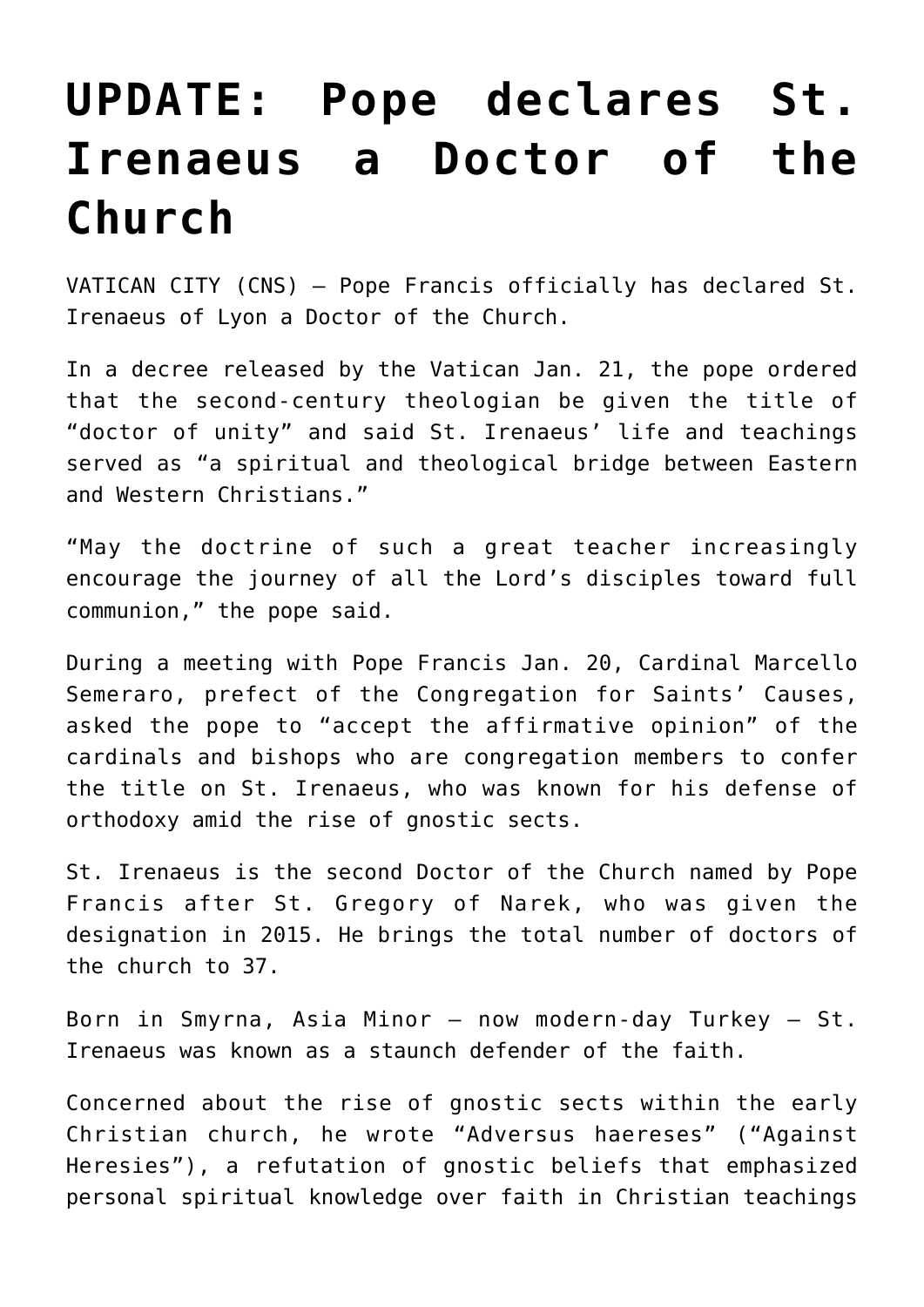## **[UPDATE: Pope declares St.](https://www.osvnews.com/2022/01/20/pope-declares-st-irenaeus-a-doctor-of-the-church/) [Irenaeus a Doctor of the](https://www.osvnews.com/2022/01/20/pope-declares-st-irenaeus-a-doctor-of-the-church/) [Church](https://www.osvnews.com/2022/01/20/pope-declares-st-irenaeus-a-doctor-of-the-church/)**

VATICAN CITY (CNS) — Pope Francis officially has declared St. Irenaeus of Lyon a Doctor of the Church.

In a decree released by the Vatican Jan. 21, the pope ordered that the second-century theologian be given the title of "doctor of unity" and said St. Irenaeus' life and teachings served as "a spiritual and theological bridge between Eastern and Western Christians."

"May the doctrine of such a great teacher increasingly encourage the journey of all the Lord's disciples toward full communion," the pope said.

During a meeting with Pope Francis Jan. 20, Cardinal Marcello Semeraro, prefect of the Congregation for Saints' Causes, asked the pope to "accept the affirmative opinion" of the cardinals and bishops who are congregation members to confer the title on St. Irenaeus, who was known for his defense of orthodoxy amid the rise of gnostic sects.

St. Irenaeus is the second Doctor of the Church named by Pope Francis after St. Gregory of Narek, who was given the designation in 2015. He brings the total number of doctors of the church to 37.

Born in Smyrna, Asia Minor — now modern-day Turkey — St. Irenaeus was known as a staunch defender of the faith.

Concerned about the rise of gnostic sects within the early Christian church, he wrote "Adversus haereses" ("Against Heresies"), a refutation of gnostic beliefs that emphasized personal spiritual knowledge over faith in Christian teachings